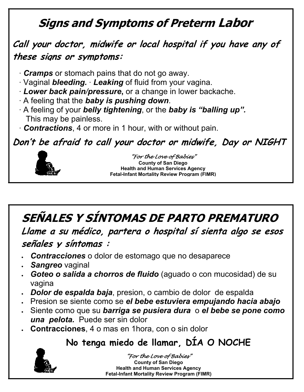## **Signs and Symptoms of Preterm Labor**

#### **Call your doctor, midwife or local hospital if you have any of these signs or symptoms:**

- · *Cramps* or stomach pains that do not go away.
- · Vaginal *bleeding.* · *Leaking* of fluid from your vagina.
- · *Lower back pain/pressure***,** or a change in lower backache.
- · A feeling that the *baby is pushing down*.
- · A feeling of your *belly tightening*, or the *baby is "balling up".* This may be painless.
- · *Contractions*, 4 or more in 1 hour, with or without pain.

**Don't be afraid to call your doctor or midwife, Day or NIGHT**



"For the Love of Babies" **County of San Diego Health and Human Services Agency Fetal-Infant Mortality Review Program (FIMR)**

**SEÑALES Y SÍNTOMAS DE PARTO PREMATURO**

**Llame a su médico, partera o hospital sí sienta algo se esos** 

#### **señales y síntomas :**

- *Contracciones* o dolor de estomago que no desaparece
- *Sangreo* vaginal
- *Goteo o salida a chorros de fluido* (aguado o con mucosidad) de su vagina
- *Dolor de espalda baja*, presion, o cambio de dolor de espalda
- Presion se siente como se *el bebe estuviera empujando hacia abajo*
- Siente como que su *barriga se pusiera dura* o *el bebe se pone como una pelota.* Puede ser sin dolor
- **Contracciones**, 4 o mas en 1hora, con o sin dolor

## **No tenga miedo de llamar, DÍA O NOCHE**



"For the Love of Babies" **County of San Diego Health and Human Services Agency Fetal-Infant Mortality Review Program (FIMR)**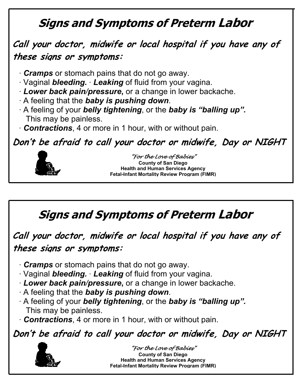## **Signs and Symptoms of Preterm Labor**

#### **Call your doctor, midwife or local hospital if you have any of these signs or symptoms:**

- · *Cramps* or stomach pains that do not go away.
- · Vaginal *bleeding.* · *Leaking* of fluid from your vagina.
- · *Lower back pain/pressure***,** or a change in lower backache.
- · A feeling that the *baby is pushing down*.
- · A feeling of your *belly tightening*, or the *baby is "balling up".* This may be painless.
- · *Contractions*, 4 or more in 1 hour, with or without pain.

**Don't be afraid to call your doctor or midwife, Day or NIGHT**



"For the Love of Babies" **County of San Diego Health and Human Services Agency Fetal-Infant Mortality Review Program (FIMR)**

**Signs and Symptoms of Preterm Labor**

**Call your doctor, midwife or local hospital if you have any of these signs or symptoms:**

- · *Cramps* or stomach pains that do not go away.
- · Vaginal *bleeding.* · *Leaking* of fluid from your vagina.
- · *Lower back pain/pressure***,** or a change in lower backache.
- · A feeling that the *baby is pushing down*.
- · A feeling of your *belly tightening*, or the *baby is "balling up".* This may be painless.
- · *Contractions*, 4 or more in 1 hour, with or without pain.

**Don't be afraid to call your doctor or midwife, Day or NIGHT**



"For the Love of Babies" **County of San Diego Health and Human Services Agency Fetal-Infant Mortality Review Program (FIMR)**